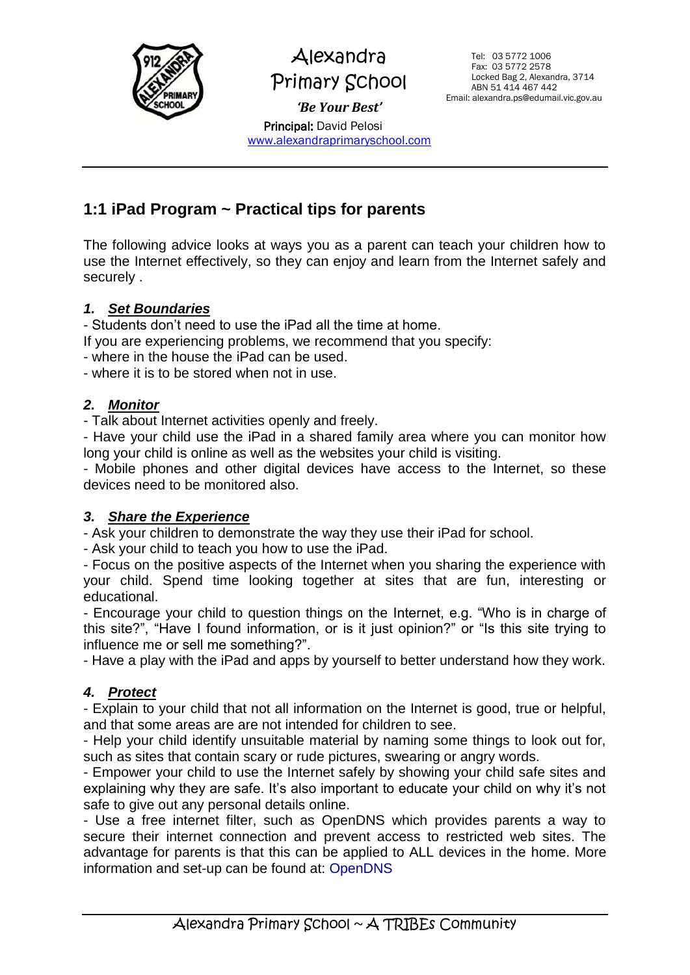

Alexandra Primary School *'Be Your Best'* Principal: David Pelosi

[www.alexandraprimaryschool.com](http://www.alexandraprimaryschool.com/)

 Tel: 03 5772 1006 Fax: 03 5772 2578 Locked Bag 2, Alexandra, 3714 ABN 51 414 467 442 Email: alexandra.ps@edumail.vic.gov.au

# **1:1 iPad Program ~ Practical tips for parents**

The following advice looks at ways you as a parent can teach your children how to use the Internet effectively, so they can enjoy and learn from the Internet safely and securely .

#### *1. Set Boundaries*

- Students don't need to use the iPad all the time at home.

- If you are experiencing problems, we recommend that you specify:
- where in the house the iPad can be used.
- where it is to be stored when not in use.

#### *2. Monitor*

- Talk about Internet activities openly and freely.

- Have your child use the iPad in a shared family area where you can monitor how long your child is online as well as the websites your child is visiting.

- Mobile phones and other digital devices have access to the Internet, so these devices need to be monitored also.

#### *3. Share the Experience*

- Ask your children to demonstrate the way they use their iPad for school.

- Ask your child to teach you how to use the iPad.

- Focus on the positive aspects of the Internet when you sharing the experience with your child. Spend time looking together at sites that are fun, interesting or educational.

- Encourage your child to question things on the Internet, e.g. "Who is in charge of this site?", "Have I found information, or is it just opinion?" or "Is this site trying to influence me or sell me something?".

- Have a play with the iPad and apps by yourself to better understand how they work.

#### *4. Protect*

- Explain to your child that not all information on the Internet is good, true or helpful, and that some areas are are not intended for children to see.

- Help your child identify unsuitable material by naming some things to look out for, such as sites that contain scary or rude pictures, swearing or angry words.

- Empower your child to use the Internet safely by showing your child safe sites and explaining why they are safe. It's also important to educate your child on why it's not safe to give out any personal details online.

- Use a free internet filter, such as OpenDNS which provides parents a way to secure their internet connection and prevent access to restricted web sites. The advantage for parents is that this can be applied to ALL devices in the home. More information and set-up can be found at: OpenDNS